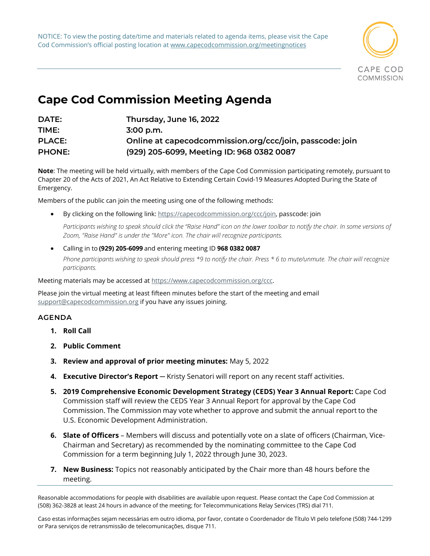NOTICE: To view the posting date/time and materials related to agenda items, please visit the Cape Cod Commission's official posting location at www.capecodcommission.org/meetingnotices



## **Cape Cod Commission Meeting Agenda**

| DATE:         | Thursday, June 16, 2022                                  |
|---------------|----------------------------------------------------------|
| TIME:         | $3:00$ p.m.                                              |
| <b>PLACE:</b> | Online at capecodcommission.org/ccc/join, passcode: join |
| <b>PHONE:</b> | (929) 205-6099, Meeting ID: 968 0382 0087                |

**Note**: The meeting will be held virtually, with members of the Cape Cod Commission participating remotely, pursuant to Chapter 20 of the Acts of 2021, An Act Relative to Extending Certain Covid-19 Measures Adopted During the State of Emergency.

Members of the public can join the meeting using one of the following methods:   

By clicking on the following link: [https://capecodcommission.org/ccc/join,](https://capecodcommission.org/ccc/join) passcode: join

Participants wishing to speak should click the "Raise Hand" icon on the lower toolbar to notify the chair. In some versions of *Zoom, "Raise Hand" is under the "More" icon. The chair will recognize participants.*

• Calling in to **(929) 205-6099** and entering meeting ID **968 0382 0087** *Phone participants wishing to speak should press \*9 to notify the chair. Press \* 6 to mute/unmute. The chair will recognize participants.*

Meeting materials may be accessed a[t https://www.capecodcommission.org/ccc.](https://www.capecodcommission.org/ccc)

Please join the virtual meeting at least fifteen minutes before the start of the meeting and email [support@capecodcommission.org](mailto:support@capecodcommission.org) if you have any issues joining.

## **AGENDA**

- **1. Roll Call**
- **2. Public Comment**
- **3. Review and approval of prior meeting minutes:** May 5, 2022
- **4. Executive Director's Report** ─ Kristy Senatori will report on any recent staff activities.
- **5. 2019 Comprehensive Economic Development Strategy (CEDS) Year 3 Annual Report:** Cape Cod Commission staff will review the CEDS Year 3 Annual Report for approval by the Cape Cod Commission. The Commission may vote whether to approve and submit the annual report to the U.S. Economic Development Administration.
- **6. Slate of Officers** Members will discuss and potentially vote on a slate of officers (Chairman, Vice-Chairman and Secretary) as recommended by the nominating committee to the Cape Cod Commission for a term beginning July 1, 2022 through June 30, 2023.
- **7. New Business:** Topics not reasonably anticipated by the Chair more than 48 hours before the meeting.

Reasonable accommodations for people with disabilities are available upon request. Please contact the Cape Cod Commission at (508) 362-3828 at least 24 hours in advance of the meeting; for Telecommunications Relay Services (TRS) dial 711.

Caso estas informações sejam necessárias em outro idioma, por favor, contate o Coordenador de Título VI pelo telefone (508) 744-1299 or Para serviços de retransmissão de telecomunicações, disque 711.